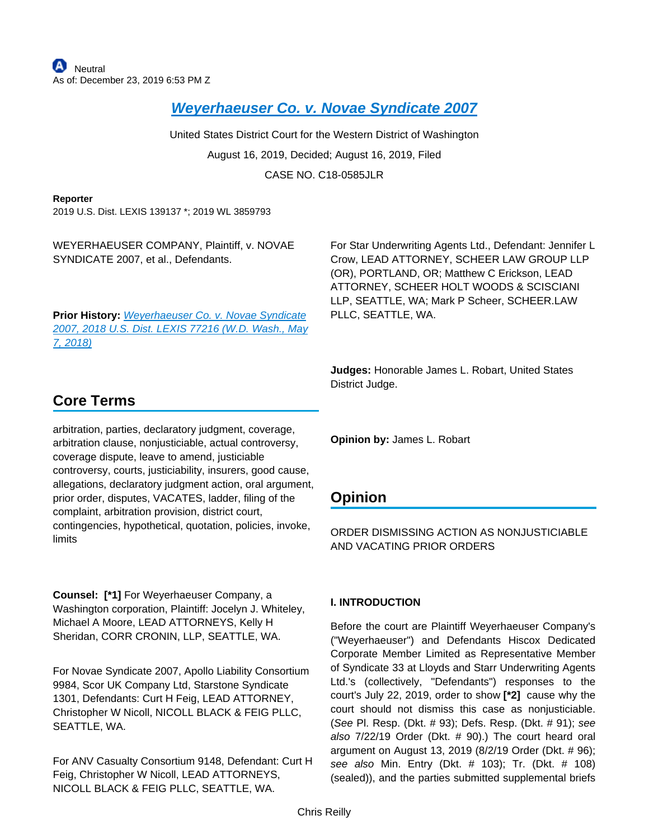**[Weyerhaeuser Co. v. Novae Syndicate 2007](https://advance.lexis.com/api/document?collection=cases&id=urn:contentItem:5WTX-1K11-F5DR-22TF-00000-00&context=)**

United States District Court for the Western District of Washington August 16, 2019, Decided; August 16, 2019, Filed CASE NO. C18-0585JLR

#### **Reporter**

2019 U.S. Dist. LEXIS 139137 \*; 2019 WL 3859793

WEYERHAEUSER COMPANY, Plaintiff, v. NOVAE SYNDICATE 2007, et al., Defendants.

**Prior History:** [Weyerhaeuser Co. v. Novae Syndicate](https://advance.lexis.com/api/document?collection=cases&id=urn:contentItem:5S8P-9HX1-JX8W-M2SD-00000-00&context=)  [2007, 2018 U.S. Dist. LEXIS 77216 \(W.D. Wash., May](https://advance.lexis.com/api/document?collection=cases&id=urn:contentItem:5S8P-9HX1-JX8W-M2SD-00000-00&context=)  [7, 2018\)](https://advance.lexis.com/api/document?collection=cases&id=urn:contentItem:5S8P-9HX1-JX8W-M2SD-00000-00&context=)

For Star Underwriting Agents Ltd., Defendant: Jennifer L Crow, LEAD ATTORNEY, SCHEER LAW GROUP LLP (OR), PORTLAND, OR; Matthew C Erickson, LEAD ATTORNEY, SCHEER HOLT WOODS & SCISCIANI LLP, SEATTLE, WA; Mark P Scheer, SCHEER.LAW PLLC, SEATTLE, WA.

**Judges:** Honorable James L. Robart, United States District Judge.

# **Core Terms**

arbitration, parties, declaratory judgment, coverage, arbitration clause, nonjusticiable, actual controversy, coverage dispute, leave to amend, justiciable controversy, courts, justiciability, insurers, good cause, allegations, declaratory judgment action, oral argument, prior order, disputes, VACATES, ladder, filing of the complaint, arbitration provision, district court, contingencies, hypothetical, quotation, policies, invoke, limits

**Counsel: [\*1]** For Weyerhaeuser Company, a Washington corporation, Plaintiff: Jocelyn J. Whiteley, Michael A Moore, LEAD ATTORNEYS, Kelly H Sheridan, CORR CRONIN, LLP, SEATTLE, WA.

For Novae Syndicate 2007, Apollo Liability Consortium 9984, Scor UK Company Ltd, Starstone Syndicate 1301, Defendants: Curt H Feig, LEAD ATTORNEY, Christopher W Nicoll, NICOLL BLACK & FEIG PLLC, SEATTLE, WA.

For ANV Casualty Consortium 9148, Defendant: Curt H Feig, Christopher W Nicoll, LEAD ATTORNEYS, NICOLL BLACK & FEIG PLLC, SEATTLE, WA.

**Opinion by:** James L. Robart

# **Opinion**

ORDER DISMISSING ACTION AS NONJUSTICIABLE AND VACATING PRIOR ORDERS

# **I. INTRODUCTION**

Before the court are Plaintiff Weyerhaeuser Company's ("Weyerhaeuser") and Defendants Hiscox Dedicated Corporate Member Limited as Representative Member of Syndicate 33 at Lloyds and Starr Underwriting Agents Ltd.'s (collectively, "Defendants") responses to the court's July 22, 2019, order to show **[\*2]** cause why the court should not dismiss this case as nonjusticiable. (See Pl. Resp. (Dkt. # 93); Defs. Resp. (Dkt. # 91); see also 7/22/19 Order (Dkt. # 90).) The court heard oral argument on August 13, 2019 (8/2/19 Order (Dkt. # 96); see also Min. Entry (Dkt. # 103); Tr. (Dkt. # 108) (sealed)), and the parties submitted supplemental briefs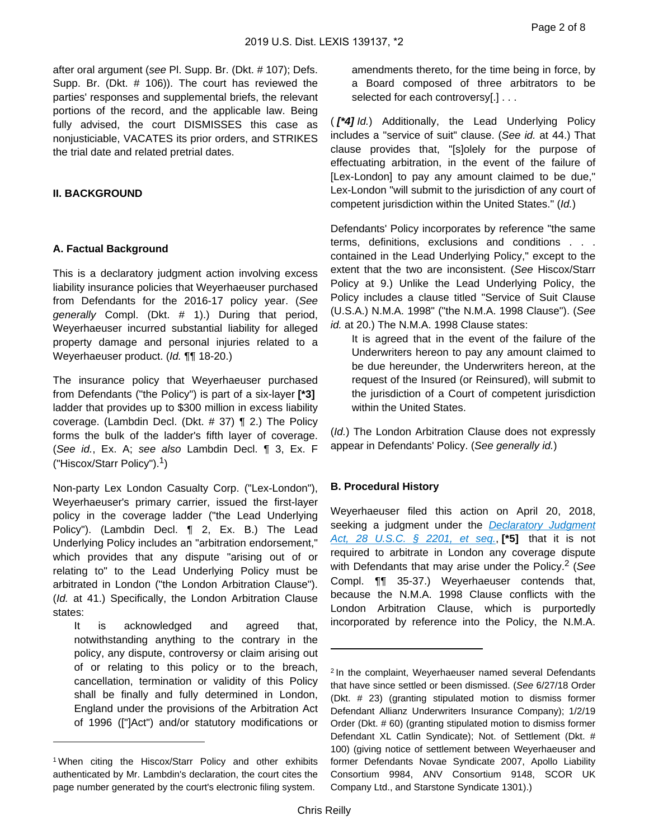after oral argument (see Pl. Supp. Br. (Dkt. # 107); Defs. Supp. Br. (Dkt. # 106)). The court has reviewed the parties' responses and supplemental briefs, the relevant portions of the record, and the applicable law. Being fully advised, the court DISMISSES this case as nonjusticiable, VACATES its prior orders, and STRIKES the trial date and related pretrial dates.

# **II. BACKGROUND**

# **A. Factual Background**

This is a declaratory judgment action involving excess liability insurance policies that Weyerhaeuser purchased from Defendants for the 2016-17 policy year. (See generally Compl. (Dkt. # 1).) During that period, Weyerhaeuser incurred substantial liability for alleged property damage and personal injuries related to a Weyerhaeuser product. (Id. ¶¶ 18-20.)

The insurance policy that Weyerhaeuser purchased from Defendants ("the Policy") is part of a six-layer **[\*3]**  ladder that provides up to \$300 million in excess liability coverage. (Lambdin Decl. (Dkt. # 37) ¶ 2.) The Policy forms the bulk of the ladder's fifth layer of coverage. (See id., Ex. A; see also Lambdin Decl. ¶ 3, Ex. F ("Hiscox/Starr Policy").<sup>1</sup>)

Non-party Lex London Casualty Corp. ("Lex-London"), Weyerhaeuser's primary carrier, issued the first-layer policy in the coverage ladder ("the Lead Underlying Policy"). (Lambdin Decl. ¶ 2, Ex. B.) The Lead Underlying Policy includes an "arbitration endorsement," which provides that any dispute "arising out of or relating to" to the Lead Underlying Policy must be arbitrated in London ("the London Arbitration Clause"). (Id. at 41.) Specifically, the London Arbitration Clause states:

It is acknowledged and agreed that, notwithstanding anything to the contrary in the policy, any dispute, controversy or claim arising out of or relating to this policy or to the breach, cancellation, termination or validity of this Policy shall be finally and fully determined in London, England under the provisions of the Arbitration Act of 1996 (["]Act") and/or statutory modifications or

amendments thereto, for the time being in force, by a Board composed of three arbitrators to be selected for each controversy[.] . . .

( **[\*4]** Id.) Additionally, the Lead Underlying Policy includes a "service of suit" clause. (See id. at 44.) That clause provides that, "[s]olely for the purpose of effectuating arbitration, in the event of the failure of [Lex-London] to pay any amount claimed to be due," Lex-London "will submit to the jurisdiction of any court of competent jurisdiction within the United States." (Id.)

Defendants' Policy incorporates by reference "the same terms, definitions, exclusions and conditions . . . contained in the Lead Underlying Policy," except to the extent that the two are inconsistent. (See Hiscox/Starr Policy at 9.) Unlike the Lead Underlying Policy, the Policy includes a clause titled "Service of Suit Clause (U.S.A.) N.M.A. 1998" ("the N.M.A. 1998 Clause"). (See id. at 20.) The N.M.A. 1998 Clause states:

It is agreed that in the event of the failure of the Underwriters hereon to pay any amount claimed to be due hereunder, the Underwriters hereon, at the request of the Insured (or Reinsured), will submit to the jurisdiction of a Court of competent jurisdiction within the United States.

(Id.) The London Arbitration Clause does not expressly appear in Defendants' Policy. (See generally id.)

# **B. Procedural History**

Weyerhaeuser filed this action on April 20, 2018, seeking a judgment under the **Declaratory Judgment** [Act, 28 U.S.C. § 2201, et seq.](https://advance.lexis.com/api/document?collection=statutes-legislation&id=urn:contentItem:8SG9-5HW2-D6RV-H0TX-00000-00&context=), **[\*5]** that it is not required to arbitrate in London any coverage dispute with Defendants that may arise under the Policy.<sup>2</sup> (See Compl. ¶¶ 35-37.) Weyerhaeuser contends that, because the N.M.A. 1998 Clause conflicts with the London Arbitration Clause, which is purportedly incorporated by reference into the Policy, the N.M.A.

<sup>1</sup>When citing the Hiscox/Starr Policy and other exhibits authenticated by Mr. Lambdin's declaration, the court cites the page number generated by the court's electronic filing system.

<sup>&</sup>lt;sup>2</sup> In the complaint, Weyerhaeuser named several Defendants that have since settled or been dismissed. (See 6/27/18 Order (Dkt. # 23) (granting stipulated motion to dismiss former Defendant Allianz Underwriters Insurance Company); 1/2/19 Order (Dkt. # 60) (granting stipulated motion to dismiss former Defendant XL Catlin Syndicate); Not. of Settlement (Dkt. # 100) (giving notice of settlement between Weyerhaeuser and former Defendants Novae Syndicate 2007, Apollo Liability Consortium 9984, ANV Consortium 9148, SCOR UK Company Ltd., and Starstone Syndicate 1301).)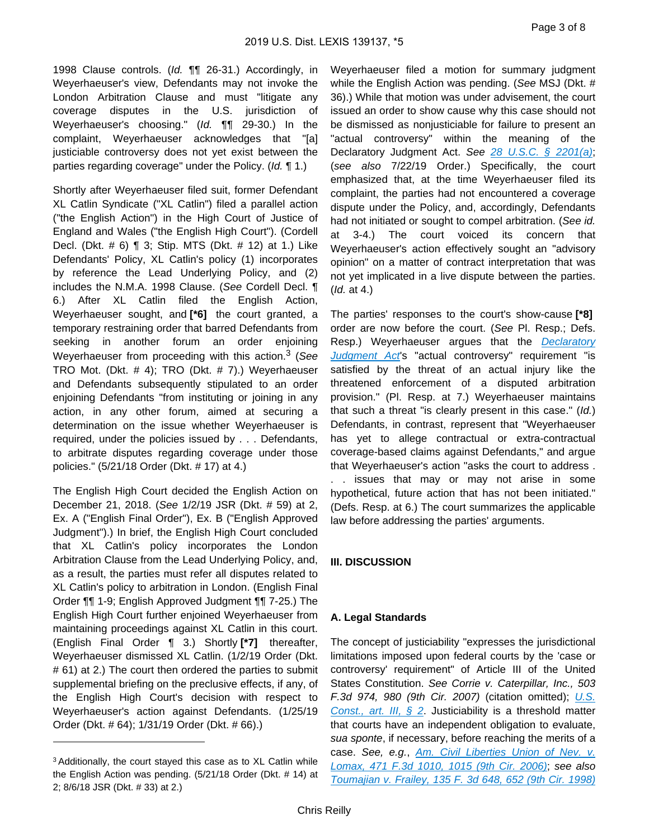1998 Clause controls. (Id. ¶¶ 26-31.) Accordingly, in Weyerhaeuser's view, Defendants may not invoke the London Arbitration Clause and must "litigate any coverage disputes in the U.S. jurisdiction of Weyerhaeuser's choosing." (Id. ¶¶ 29-30.) In the complaint, Weyerhaeuser acknowledges that "[a] justiciable controversy does not yet exist between the parties regarding coverage" under the Policy. (Id. ¶ 1.)

Shortly after Weyerhaeuser filed suit, former Defendant XL Catlin Syndicate ("XL Catlin") filed a parallel action ("the English Action") in the High Court of Justice of England and Wales ("the English High Court"). (Cordell Decl. (Dkt. # 6) ¶ 3; Stip. MTS (Dkt. # 12) at 1.) Like Defendants' Policy, XL Catlin's policy (1) incorporates by reference the Lead Underlying Policy, and (2) includes the N.M.A. 1998 Clause. (See Cordell Decl. ¶ 6.) After XL Catlin filed the English Action, Weyerhaeuser sought, and **[\*6]** the court granted, a temporary restraining order that barred Defendants from seeking in another forum an order enjoining Weyerhaeuser from proceeding with this action.<sup>3</sup> (See TRO Mot. (Dkt. # 4); TRO (Dkt. # 7).) Weyerhaeuser and Defendants subsequently stipulated to an order enjoining Defendants "from instituting or joining in any action, in any other forum, aimed at securing a determination on the issue whether Weyerhaeuser is required, under the policies issued by . . . Defendants, to arbitrate disputes regarding coverage under those policies." (5/21/18 Order (Dkt. # 17) at 4.)

The English High Court decided the English Action on December 21, 2018. (See 1/2/19 JSR (Dkt. # 59) at 2, Ex. A ("English Final Order"), Ex. B ("English Approved Judgment").) In brief, the English High Court concluded that XL Catlin's policy incorporates the London Arbitration Clause from the Lead Underlying Policy, and, as a result, the parties must refer all disputes related to XL Catlin's policy to arbitration in London. (English Final Order ¶¶ 1-9; English Approved Judgment ¶¶ 7-25.) The English High Court further enjoined Weyerhaeuser from maintaining proceedings against XL Catlin in this court. (English Final Order ¶ 3.) Shortly **[\*7]** thereafter, Weyerhaeuser dismissed XL Catlin. (1/2/19 Order (Dkt. # 61) at 2.) The court then ordered the parties to submit supplemental briefing on the preclusive effects, if any, of the English High Court's decision with respect to Weyerhaeuser's action against Defendants. (1/25/19 Order (Dkt. # 64); 1/31/19 Order (Dkt. # 66).)

Weyerhaeuser filed a motion for summary judgment while the English Action was pending. (See MSJ (Dkt. # 36).) While that motion was under advisement, the court issued an order to show cause why this case should not be dismissed as nonjusticiable for failure to present an "actual controversy" within the meaning of the Declaratory Judgment Act. See [28 U.S.C. § 2201\(a\)](https://advance.lexis.com/api/document?collection=statutes-legislation&id=urn:contentItem:8SG9-5HW2-D6RV-H0TX-00000-00&context=); (see also 7/22/19 Order.) Specifically, the court emphasized that, at the time Weyerhaeuser filed its complaint, the parties had not encountered a coverage dispute under the Policy, and, accordingly, Defendants had not initiated or sought to compel arbitration. (See id. at 3-4.) The court voiced its concern that Weyerhaeuser's action effectively sought an "advisory opinion" on a matter of contract interpretation that was not yet implicated in a live dispute between the parties. (Id. at 4.)

The parties' responses to the court's show-cause **[\*8]**  order are now before the court. (See Pl. Resp.; Defs. Resp.) Weyerhaeuser argues that the Declaratory [Judgment Act](https://advance.lexis.com/api/document?collection=statutes-legislation&id=urn:contentItem:8SG9-5HW2-D6RV-H0TX-00000-00&context=)'s "actual controversy" requirement "is satisfied by the threat of an actual injury like the threatened enforcement of a disputed arbitration provision." (Pl. Resp. at 7.) Weyerhaeuser maintains that such a threat "is clearly present in this case." (Id.) Defendants, in contrast, represent that "Weyerhaeuser has yet to allege contractual or extra-contractual coverage-based claims against Defendants," and argue that Weyerhaeuser's action "asks the court to address . . . issues that may or may not arise in some hypothetical, future action that has not been initiated." (Defs. Resp. at 6.) The court summarizes the applicable law before addressing the parties' arguments.

# **III. DISCUSSION**

# **A. Legal Standards**

The concept of justiciability "expresses the jurisdictional limitations imposed upon federal courts by the 'case or controversy' requirement" of Article III of the United States Constitution. See Corrie v. Caterpillar, Inc., 503 F.3d 974, 980 (9th Cir. 2007) (citation omitted); U.S. Const., art. III,  $\frac{1}{2}$  2. Justiciability is a threshold matter that courts have an independent obligation to evaluate, sua sponte, if necessary, before reaching the merits of a case. See, e.g., Am. Civil Liberties Union of Nev. v. [Lomax, 471 F.3d 1010, 1015 \(9th Cir. 2006\)](https://advance.lexis.com/api/document?collection=cases&id=urn:contentItem:4MHR-YXW0-0038-X0TP-00000-00&context=); see also [Toumajian v. Frailey, 135 F. 3d 648, 652 \(9th Cir. 1998\)](https://advance.lexis.com/api/document?collection=cases&id=urn:contentItem:3SB1-MKC0-0038-X2GV-00000-00&context=)

<sup>3</sup>Additionally, the court stayed this case as to XL Catlin while the English Action was pending. (5/21/18 Order (Dkt. # 14) at 2; 8/6/18 JSR (Dkt. # 33) at 2.)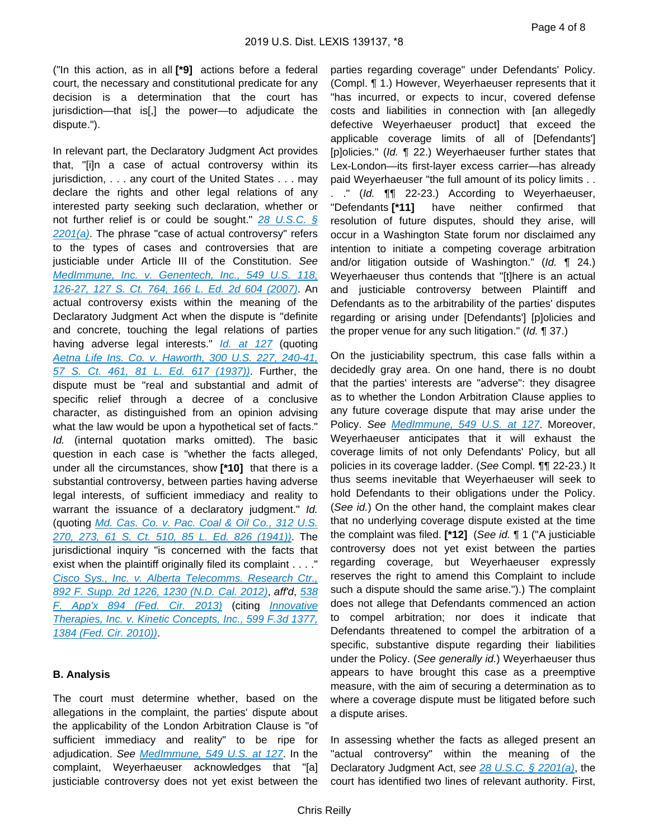("In this action, as in all **[\*9]** actions before a federal court, the necessary and constitutional predicate for any decision is a determination that the court has jurisdiction—that is[,] the power—to adjudicate the dispute.").

In relevant part, the Declaratory Judgment Act provides that, "[i]n a case of actual controversy within its jurisdiction, . . . any court of the United States . . . may declare the rights and other legal relations of any interested party seeking such declaration, whether or not further relief is or could be sought." [28 U.S.C. §](https://advance.lexis.com/api/document?collection=statutes-legislation&id=urn:contentItem:8SG9-5HW2-D6RV-H0TX-00000-00&context=)   $2201(a)$ . The phrase "case of actual controversy" refers to the types of cases and controversies that are justiciable under Article III of the Constitution. See [MedImmune, Inc. v. Genentech, Inc., 549 U.S. 118,](https://advance.lexis.com/api/document?collection=cases&id=urn:contentItem:4MSH-2GG0-004B-Y048-00000-00&context=)  [126-27, 127 S. Ct. 764, 166 L. Ed. 2d 604 \(2007\)](https://advance.lexis.com/api/document?collection=cases&id=urn:contentItem:4MSH-2GG0-004B-Y048-00000-00&context=). An actual controversy exists within the meaning of the Declaratory Judgment Act when the dispute is "definite and concrete, touching the legal relations of parties having adverse legal interests." **[Id. at 127](https://advance.lexis.com/api/document?collection=cases&id=urn:contentItem:4MSH-2GG0-004B-Y048-00000-00&context=)** (quoting [Aetna Life Ins. Co. v. Haworth, 300 U.S. 227, 240-41,](https://advance.lexis.com/api/document?collection=cases&id=urn:contentItem:3S4X-9DT0-003B-727H-00000-00&context=)  [57 S. Ct. 461, 81 L. Ed. 617 \(1937\)\)](https://advance.lexis.com/api/document?collection=cases&id=urn:contentItem:3S4X-9DT0-003B-727H-00000-00&context=). Further, the dispute must be "real and substantial and admit of specific relief through a decree of a conclusive character, as distinguished from an opinion advising what the law would be upon a hypothetical set of facts." Id. (internal quotation marks omitted). The basic question in each case is "whether the facts alleged, under all the circumstances, show **[\*10]** that there is a substantial controversy, between parties having adverse legal interests, of sufficient immediacy and reality to warrant the issuance of a declaratory judgment." Id. (quoting [Md. Cas. Co. v. Pac. Coal & Oil Co., 312 U.S.](https://advance.lexis.com/api/document?collection=cases&id=urn:contentItem:3S4X-6GG0-003B-7181-00000-00&context=)  [270, 273, 61 S. Ct. 510, 85 L. Ed. 826 \(1941\)\)](https://advance.lexis.com/api/document?collection=cases&id=urn:contentItem:3S4X-6GG0-003B-7181-00000-00&context=). The jurisdictional inquiry "is concerned with the facts that exist when the plaintiff originally filed its complaint . . . ." [Cisco Sys., Inc. v. Alberta Telecomms. Research Ctr.,](https://advance.lexis.com/api/document?collection=cases&id=urn:contentItem:56G5-N871-F04C-T3VK-00000-00&context=)  [892 F. Supp. 2d 1226, 1230 \(N.D. Cal. 2012\)](https://advance.lexis.com/api/document?collection=cases&id=urn:contentItem:56G5-N871-F04C-T3VK-00000-00&context=), aff'd, [538](https://advance.lexis.com/api/document?collection=cases&id=urn:contentItem:597F-2G21-F04B-M00S-00000-00&context=)  [F. App'x 894 \(Fed. Cir. 2013\)](https://advance.lexis.com/api/document?collection=cases&id=urn:contentItem:597F-2G21-F04B-M00S-00000-00&context=) (citing *Innovative* [Therapies, Inc. v. Kinetic Concepts, Inc., 599 F.3d 1377,](https://advance.lexis.com/api/document?collection=cases&id=urn:contentItem:7Y4T-72Y0-YB0K-G029-00000-00&context=)  [1384 \(Fed. Cir. 2010\)\)](https://advance.lexis.com/api/document?collection=cases&id=urn:contentItem:7Y4T-72Y0-YB0K-G029-00000-00&context=).

# **B. Analysis**

The court must determine whether, based on the allegations in the complaint, the parties' dispute about the applicability of the London Arbitration Clause is "of sufficient immediacy and reality" to be ripe for adjudication. See [MedImmune, 549 U.S. at 127](https://advance.lexis.com/api/document?collection=cases&id=urn:contentItem:4MSH-2GG0-004B-Y048-00000-00&context=). In the complaint, Weyerhaeuser acknowledges that "[a] justiciable controversy does not yet exist between the

parties regarding coverage" under Defendants' Policy. (Compl. ¶ 1.) However, Weyerhaeuser represents that it "has incurred, or expects to incur, covered defense costs and liabilities in connection with [an allegedly defective Weyerhaeuser product] that exceed the applicable coverage limits of all of [Defendants'] [p]olicies." (Id. ¶ 22.) Weyerhaeuser further states that Lex-London—its first-layer excess carrier—has already paid Weyerhaeuser "the full amount of its policy limits . . . ." (Id. ¶¶ 22-23.) According to Weyerhaeuser, "Defendants **[\*11]** have neither confirmed that resolution of future disputes, should they arise, will occur in a Washington State forum nor disclaimed any intention to initiate a competing coverage arbitration and/or litigation outside of Washington." (Id.  $\P$  24.) Weyerhaeuser thus contends that "[t]here is an actual and justiciable controversy between Plaintiff and Defendants as to the arbitrability of the parties' disputes regarding or arising under [Defendants'] [p]olicies and the proper venue for any such litigation." (Id. ¶ 37.)

On the justiciability spectrum, this case falls within a decidedly gray area. On one hand, there is no doubt that the parties' interests are "adverse": they disagree as to whether the London Arbitration Clause applies to any future coverage dispute that may arise under the Policy. See [MedImmune, 549 U.S. at 127](https://advance.lexis.com/api/document?collection=cases&id=urn:contentItem:4MSH-2GG0-004B-Y048-00000-00&context=). Moreover, Weyerhaeuser anticipates that it will exhaust the coverage limits of not only Defendants' Policy, but all policies in its coverage ladder. (See Compl. ¶¶ 22-23.) It thus seems inevitable that Weyerhaeuser will seek to hold Defendants to their obligations under the Policy. (See id.) On the other hand, the complaint makes clear that no underlying coverage dispute existed at the time the complaint was filed. **[\*12]** (See id. ¶ 1 ("A justiciable controversy does not yet exist between the parties regarding coverage, but Weyerhaeuser expressly reserves the right to amend this Complaint to include such a dispute should the same arise.").) The complaint does not allege that Defendants commenced an action to compel arbitration; nor does it indicate that Defendants threatened to compel the arbitration of a specific, substantive dispute regarding their liabilities under the Policy. (See generally id.) Weyerhaeuser thus appears to have brought this case as a preemptive measure, with the aim of securing a determination as to where a coverage dispute must be litigated before such a dispute arises.

In assessing whether the facts as alleged present an "actual controversy" within the meaning of the Declaratory Judgment Act, see [28 U.S.C. § 2201\(a\)](https://advance.lexis.com/api/document?collection=statutes-legislation&id=urn:contentItem:8SG9-5HW2-D6RV-H0TX-00000-00&context=), the court has identified two lines of relevant authority. First,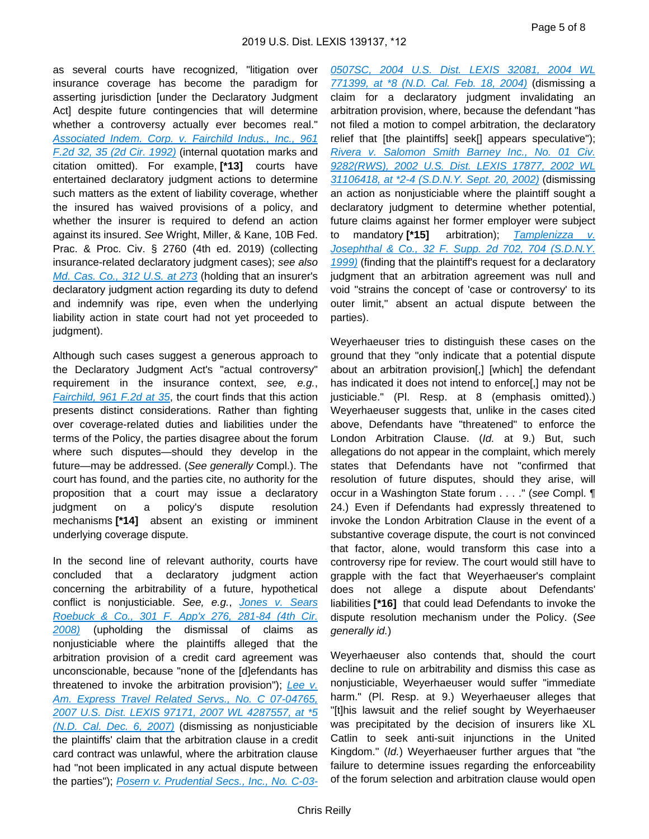as several courts have recognized, "litigation over insurance coverage has become the paradigm for asserting jurisdiction [under the Declaratory Judgment Act] despite future contingencies that will determine whether a controversy actually ever becomes real." Associated Indem. Corp. v. Fairchild Indus., Inc., 961 [F.2d 32, 35 \(2d Cir. 1992\)](https://advance.lexis.com/api/document?collection=cases&id=urn:contentItem:3S4X-4N80-008H-V134-00000-00&context=) (internal quotation marks and citation omitted). For example, **[\*13]** courts have entertained declaratory judgment actions to determine such matters as the extent of liability coverage, whether the insured has waived provisions of a policy, and whether the insurer is required to defend an action against its insured. See Wright, Miller, & Kane, 10B Fed. Prac. & Proc. Civ. § 2760 (4th ed. 2019) (collecting insurance-related declaratory judgment cases); see also [Md. Cas. Co., 312 U.S. at 273](https://advance.lexis.com/api/document?collection=cases&id=urn:contentItem:3S4X-6GG0-003B-7181-00000-00&context=) (holding that an insurer's declaratory judgment action regarding its duty to defend and indemnify was ripe, even when the underlying liability action in state court had not yet proceeded to judgment).

Although such cases suggest a generous approach to the Declaratory Judgment Act's "actual controversy" requirement in the insurance context, see, e.g., [Fairchild, 961 F.2d at 35](https://advance.lexis.com/api/document?collection=cases&id=urn:contentItem:3S4X-4N80-008H-V134-00000-00&context=), the court finds that this action presents distinct considerations. Rather than fighting over coverage-related duties and liabilities under the terms of the Policy, the parties disagree about the forum where such disputes—should they develop in the future—may be addressed. (See generally Compl.). The court has found, and the parties cite, no authority for the proposition that a court may issue a declaratory judgment on a policy's dispute resolution mechanisms **[\*14]** absent an existing or imminent underlying coverage dispute.

In the second line of relevant authority, courts have concluded that a declaratory judgment action concerning the arbitrability of a future, hypothetical conflict is nonjusticiable. See, e.g., [Jones v. Sears](https://advance.lexis.com/api/document?collection=cases&id=urn:contentItem:4TWV-RDK0-TXFX-636P-00000-00&context=)  [Roebuck & Co., 301 F. App'x 276, 281-84 \(4th Cir.](https://advance.lexis.com/api/document?collection=cases&id=urn:contentItem:4TWV-RDK0-TXFX-636P-00000-00&context=)  [2008\)](https://advance.lexis.com/api/document?collection=cases&id=urn:contentItem:4TWV-RDK0-TXFX-636P-00000-00&context=) (upholding the dismissal of claims as nonjusticiable where the plaintiffs alleged that the arbitration provision of a credit card agreement was unconscionable, because "none of the [d]efendants has threatened to invoke the arbitration provision"); [Lee v.](https://advance.lexis.com/api/document?collection=cases&id=urn:contentItem:4SX3-JGW0-TXFP-C318-00000-00&context=)  [Am. Express Travel Related Servs., No. C 07-04765,](https://advance.lexis.com/api/document?collection=cases&id=urn:contentItem:4SX3-JGW0-TXFP-C318-00000-00&context=)  2007 U.S. Dist. LEXIS 97171, 2007 WL 4287557, at \*5 [\(N.D. Cal. Dec. 6, 2007\)](https://advance.lexis.com/api/document?collection=cases&id=urn:contentItem:4SX3-JGW0-TXFP-C318-00000-00&context=) (dismissing as nonjusticiable the plaintiffs' claim that the arbitration clause in a credit card contract was unlawful, where the arbitration clause had "not been implicated in any actual dispute between the parties"); [Posern v. Prudential Secs., Inc., No. C-03-](https://advance.lexis.com/api/document?collection=cases&id=urn:contentItem:5BBC-PK31-F04C-T3D8-00000-00&context=)

[0507SC, 2004 U.S. Dist. LEXIS 32081, 2004 WL](https://advance.lexis.com/api/document?collection=cases&id=urn:contentItem:5BBC-PK31-F04C-T3D8-00000-00&context=)  [771399, at \\*8 \(N.D. Cal. Feb. 18, 2004\)](https://advance.lexis.com/api/document?collection=cases&id=urn:contentItem:5BBC-PK31-F04C-T3D8-00000-00&context=) (dismissing a claim for a declaratory judgment invalidating an arbitration provision, where, because the defendant "has not filed a motion to compel arbitration, the declaratory relief that [the plaintiffs] seek[] appears speculative"); [Rivera v. Salomon Smith Barney Inc., No. 01 Civ.](https://advance.lexis.com/api/document?collection=cases&id=urn:contentItem:46VC-DD00-0038-Y3DP-00000-00&context=)  [9282\(RWS\), 2002 U.S. Dist. LEXIS 17877, 2002 WL](https://advance.lexis.com/api/document?collection=cases&id=urn:contentItem:46VC-DD00-0038-Y3DP-00000-00&context=)  [31106418, at \\*2-4 \(S.D.N.Y. Sept. 20, 2002\)](https://advance.lexis.com/api/document?collection=cases&id=urn:contentItem:46VC-DD00-0038-Y3DP-00000-00&context=) (dismissing an action as nonjusticiable where the plaintiff sought a declaratory judgment to determine whether potential, future claims against her former employer were subject to mandatory **[\*15]** arbitration); [Tamplenizza v.](https://advance.lexis.com/api/document?collection=cases&id=urn:contentItem:3VP4-NN10-0038-Y02P-00000-00&context=)  [Josephthal & Co., 32 F. Supp. 2d 702, 704 \(S.D.N.Y.](https://advance.lexis.com/api/document?collection=cases&id=urn:contentItem:3VP4-NN10-0038-Y02P-00000-00&context=)  [1999\)](https://advance.lexis.com/api/document?collection=cases&id=urn:contentItem:3VP4-NN10-0038-Y02P-00000-00&context=) (finding that the plaintiff's request for a declaratory judgment that an arbitration agreement was null and void "strains the concept of 'case or controversy' to its outer limit," absent an actual dispute between the parties).

Weyerhaeuser tries to distinguish these cases on the ground that they "only indicate that a potential dispute about an arbitration provision[,] [which] the defendant has indicated it does not intend to enforce[,] may not be justiciable." (Pl. Resp. at 8 (emphasis omitted).) Weyerhaeuser suggests that, unlike in the cases cited above, Defendants have "threatened" to enforce the London Arbitration Clause. (Id. at 9.) But, such allegations do not appear in the complaint, which merely states that Defendants have not "confirmed that resolution of future disputes, should they arise, will occur in a Washington State forum . . . . " (see Compl. ¶ 24.) Even if Defendants had expressly threatened to invoke the London Arbitration Clause in the event of a substantive coverage dispute, the court is not convinced that factor, alone, would transform this case into a controversy ripe for review. The court would still have to grapple with the fact that Weyerhaeuser's complaint does not allege a dispute about Defendants' liabilities **[\*16]** that could lead Defendants to invoke the dispute resolution mechanism under the Policy. (See generally id.)

Weyerhaeuser also contends that, should the court decline to rule on arbitrability and dismiss this case as nonjusticiable, Weyerhaeuser would suffer "immediate harm." (Pl. Resp. at 9.) Weyerhaeuser alleges that "[t]his lawsuit and the relief sought by Weyerhaeuser was precipitated by the decision of insurers like XL Catlin to seek anti-suit injunctions in the United Kingdom." (Id.) Weyerhaeuser further argues that "the failure to determine issues regarding the enforceability of the forum selection and arbitration clause would open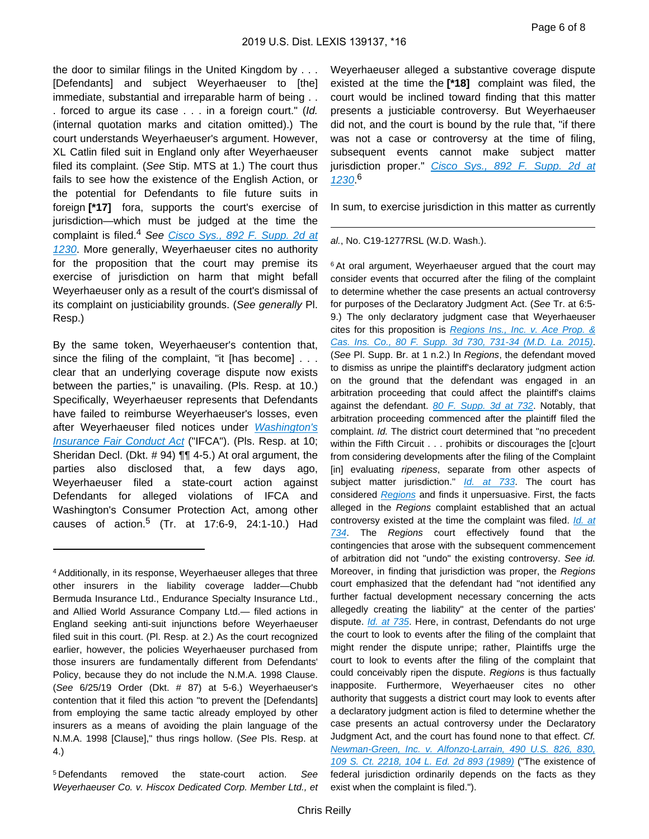the door to similar filings in the United Kingdom by . . . [Defendants] and subject Weyerhaeuser to [the] immediate, substantial and irreparable harm of being . . . forced to argue its case . . . in a foreign court." (Id. (internal quotation marks and citation omitted).) The court understands Weyerhaeuser's argument. However, XL Catlin filed suit in England only after Weyerhaeuser filed its complaint. (See Stip. MTS at 1.) The court thus fails to see how the existence of the English Action, or the potential for Defendants to file future suits in foreign **[\*17]** fora, supports the court's exercise of jurisdiction—which must be judged at the time the complaint is filed.<sup>4</sup> See Cisco Sys., 892 F. Supp. 2d at [1230](https://advance.lexis.com/api/document?collection=cases&id=urn:contentItem:56G5-N871-F04C-T3VK-00000-00&context=). More generally, Weyerhaeuser cites no authority for the proposition that the court may premise its exercise of jurisdiction on harm that might befall Weyerhaeuser only as a result of the court's dismissal of its complaint on justiciability grounds. (See generally Pl. Resp.)

By the same token, Weyerhaeuser's contention that, since the filing of the complaint, "it [has become] . . . clear that an underlying coverage dispute now exists between the parties," is unavailing. (Pls. Resp. at 10.) Specifically, Weyerhaeuser represents that Defendants have failed to reimburse Weyerhaeuser's losses, even after Weyerhaeuser filed notices under [Washington's](https://advance.lexis.com/api/document?collection=statutes-legislation&id=urn:contentItem:5BB4-5021-66P3-205B-00000-00&context=)  [Insurance Fair Conduct Act](https://advance.lexis.com/api/document?collection=statutes-legislation&id=urn:contentItem:5BB4-5021-66P3-205B-00000-00&context=) ("IFCA"). (Pls. Resp. at 10; Sheridan Decl. (Dkt. # 94) ¶¶ 4-5.) At oral argument, the parties also disclosed that, a few days ago, Weyerhaeuser filed a state-court action against Defendants for alleged violations of IFCA and Washington's Consumer Protection Act, among other causes of action.<sup>5</sup> (Tr. at 17:6-9, 24:1-10.) Had

Weyerhaeuser alleged a substantive coverage dispute existed at the time the **[\*18]** complaint was filed, the court would be inclined toward finding that this matter presents a justiciable controversy. But Weyerhaeuser did not, and the court is bound by the rule that, "if there was not a case or controversy at the time of filing, subsequent events cannot make subject matter jurisdiction proper." Cisco Sys., 892 F. Supp. 2d at [1230](https://advance.lexis.com/api/document?collection=cases&id=urn:contentItem:56G5-N871-F04C-T3VK-00000-00&context=). 6

In sum, to exercise jurisdiction in this matter as currently

#### al., No. C19-1277RSL (W.D. Wash.).

<sup>6</sup> At oral argument, Weyerhaeuser argued that the court may consider events that occurred after the filing of the complaint to determine whether the case presents an actual controversy for purposes of the Declaratory Judgment Act. (See Tr. at 6:5- 9.) The only declaratory judgment case that Weyerhaeuser cites for this proposition is [Regions Ins., Inc. v. Ace Prop. &](https://advance.lexis.com/api/document?collection=cases&id=urn:contentItem:5F49-SH81-F04D-C00K-00000-00&context=)  [Cas. Ins. Co., 80 F. Supp. 3d 730, 731-34 \(M.D. La. 2015\)](https://advance.lexis.com/api/document?collection=cases&id=urn:contentItem:5F49-SH81-F04D-C00K-00000-00&context=). (See Pl. Supp. Br. at 1 n.2.) In Regions, the defendant moved to dismiss as unripe the plaintiff's declaratory judgment action on the ground that the defendant was engaged in an arbitration proceeding that could affect the plaintiff's claims against the defendant. [80 F. Supp. 3d at 732](https://advance.lexis.com/api/document?collection=cases&id=urn:contentItem:5F49-SH81-F04D-C00K-00000-00&context=). Notably, that arbitration proceeding commenced after the plaintiff filed the complaint. Id. The district court determined that "no precedent within the Fifth Circuit . . . prohibits or discourages the [c]ourt from considering developments after the filing of the Complaint [in] evaluating *ripeness*, separate from other aspects of subject matter jurisdiction." *[Id. at 733](https://advance.lexis.com/api/document?collection=cases&id=urn:contentItem:5F49-SH81-F04D-C00K-00000-00&context=)*. The court has considered [Regions](https://advance.lexis.com/api/document?collection=cases&id=urn:contentItem:5F49-SH81-F04D-C00K-00000-00&context=) and finds it unpersuasive. First, the facts alleged in the Regions complaint established that an actual controversy existed at the time the complaint was filed. Id. at [734](https://advance.lexis.com/api/document?collection=cases&id=urn:contentItem:5F49-SH81-F04D-C00K-00000-00&context=). The Regions court effectively found that the contingencies that arose with the subsequent commencement of arbitration did not "undo" the existing controversy. See id. Moreover, in finding that jurisdiction was proper, the Regions court emphasized that the defendant had "not identified any further factual development necessary concerning the acts allegedly creating the liability" at the center of the parties' dispute. *[Id. at 735](https://advance.lexis.com/api/document?collection=cases&id=urn:contentItem:5F49-SH81-F04D-C00K-00000-00&context=)*. Here, in contrast, Defendants do not urge the court to look to events after the filing of the complaint that might render the dispute unripe; rather, Plaintiffs urge the court to look to events after the filing of the complaint that could conceivably ripen the dispute. Regions is thus factually inapposite. Furthermore, Weyerhaeuser cites no other authority that suggests a district court may look to events after a declaratory judgment action is filed to determine whether the case presents an actual controversy under the Declaratory Judgment Act, and the court has found none to that effect. Cf. [Newman-Green, Inc. v. Alfonzo-Larrain, 490 U.S. 826, 830,](https://advance.lexis.com/api/document?collection=cases&id=urn:contentItem:3S4X-B020-003B-41DS-00000-00&context=)  [109 S. Ct. 2218, 104 L. Ed. 2d 893 \(1989\)](https://advance.lexis.com/api/document?collection=cases&id=urn:contentItem:3S4X-B020-003B-41DS-00000-00&context=) ("The existence of federal jurisdiction ordinarily depends on the facts as they exist when the complaint is filed.").

<sup>4</sup>Additionally, in its response, Weyerhaeuser alleges that three other insurers in the liability coverage ladder—Chubb Bermuda Insurance Ltd., Endurance Specialty Insurance Ltd., and Allied World Assurance Company Ltd.— filed actions in England seeking anti-suit injunctions before Weyerhaeuser filed suit in this court. (Pl. Resp. at 2.) As the court recognized earlier, however, the policies Weyerhaeuser purchased from those insurers are fundamentally different from Defendants' Policy, because they do not include the N.M.A. 1998 Clause. (See 6/25/19 Order (Dkt. # 87) at 5-6.) Weyerhaeuser's contention that it filed this action "to prevent the [Defendants] from employing the same tactic already employed by other insurers as a means of avoiding the plain language of the N.M.A. 1998 [Clause]," thus rings hollow. (See Pls. Resp. at 4.)

<sup>5</sup>Defendants removed the state-court action. See Weyerhaeuser Co. v. Hiscox Dedicated Corp. Member Ltd., et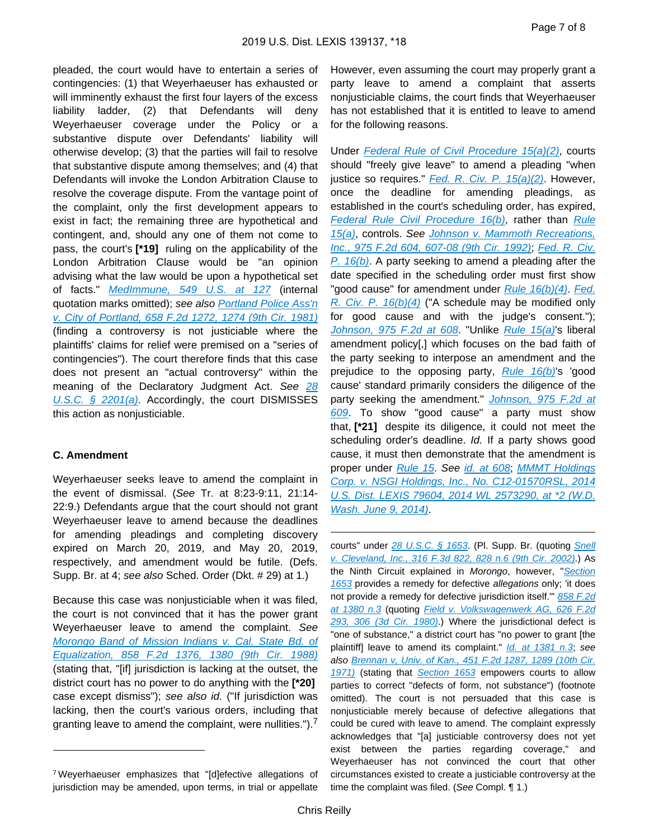pleaded, the court would have to entertain a series of contingencies: (1) that Weyerhaeuser has exhausted or will imminently exhaust the first four layers of the excess liability ladder, (2) that Defendants will deny Weyerhaeuser coverage under the Policy or a substantive dispute over Defendants' liability will otherwise develop; (3) that the parties will fail to resolve that substantive dispute among themselves; and (4) that Defendants will invoke the London Arbitration Clause to resolve the coverage dispute. From the vantage point of the complaint, only the first development appears to exist in fact; the remaining three are hypothetical and contingent, and, should any one of them not come to pass, the court's **[\*19]** ruling on the applicability of the London Arbitration Clause would be "an opinion advising what the law would be upon a hypothetical set of facts." [MedImmune, 549 U.S. at 127](https://advance.lexis.com/api/document?collection=cases&id=urn:contentItem:4MSH-2GG0-004B-Y048-00000-00&context=) (internal quotation marks omitted); see also [Portland Police Ass'n](https://advance.lexis.com/api/document?collection=cases&id=urn:contentItem:3S4W-YRK0-0039-W3F0-00000-00&context=)  [v. City of Portland, 658 F.2d 1272, 1274 \(9th Cir. 1981\)](https://advance.lexis.com/api/document?collection=cases&id=urn:contentItem:3S4W-YRK0-0039-W3F0-00000-00&context=) (finding a controversy is not justiciable where the plaintiffs' claims for relief were premised on a "series of contingencies"). The court therefore finds that this case does not present an "actual controversy" within the meaning of the Declaratory Judgment Act. See 28 [U.S.C. § 2201\(a\)](https://advance.lexis.com/api/document?collection=statutes-legislation&id=urn:contentItem:8SG9-5HW2-D6RV-H0TX-00000-00&context=). Accordingly, the court DISMISSES this action as nonjusticiable.

# **C. Amendment**

Weyerhaeuser seeks leave to amend the complaint in the event of dismissal. (See Tr. at 8:23-9:11, 21:14- 22:9.) Defendants argue that the court should not grant Weyerhaeuser leave to amend because the deadlines for amending pleadings and completing discovery expired on March 20, 2019, and May 20, 2019, respectively, and amendment would be futile. (Defs. Supp. Br. at 4; see also Sched. Order (Dkt. # 29) at 1.)

Because this case was nonjusticiable when it was filed, the court is not convinced that it has the power grant Weyerhaeuser leave to amend the complaint. See [Morongo Band of Mission Indians v. Cal. State Bd. of](https://advance.lexis.com/api/document?collection=cases&id=urn:contentItem:3S4X-0M90-001B-K294-00000-00&context=)  [Equalization, 858 F.2d 1376, 1380 \(9th Cir. 1988\)](https://advance.lexis.com/api/document?collection=cases&id=urn:contentItem:3S4X-0M90-001B-K294-00000-00&context=) (stating that, "[if] jurisdiction is lacking at the outset, the district court has no power to do anything with the **[\*20]**  case except dismiss"); see also id. ("If jurisdiction was lacking, then the court's various orders, including that granting leave to amend the complaint, were nullities.").

However, even assuming the court may properly grant a party leave to amend a complaint that asserts nonjusticiable claims, the court finds that Weyerhaeuser has not established that it is entitled to leave to amend for the following reasons.

Under [Federal Rule of Civil Procedure 15\(a\)\(2\)](https://advance.lexis.com/api/document?collection=statutes-legislation&id=urn:contentItem:5GYC-1WP1-6N19-F103-00000-00&context=), courts should "freely give leave" to amend a pleading "when justice so requires."  $Fed. R. Civ. P. 15(a)(2)$ . However, once the deadline for amending pleadings, as established in the court's scheduling order, has expired, [Federal Rule Civil Procedure 16\(b\)](https://advance.lexis.com/api/document?collection=statutes-legislation&id=urn:contentItem:8JD7-4G92-8T6X-702K-00000-00&context=), rather than [Rule](https://advance.lexis.com/api/document?collection=statutes-legislation&id=urn:contentItem:5GYC-1WP1-6N19-F103-00000-00&context=)  [15\(a\)](https://advance.lexis.com/api/document?collection=statutes-legislation&id=urn:contentItem:5GYC-1WP1-6N19-F103-00000-00&context=), controls. See [Johnson v. Mammoth Recreations,](https://advance.lexis.com/api/document?collection=cases&id=urn:contentItem:3S4X-1630-008H-V34C-00000-00&context=)  [Inc., 975 F.2d 604, 607-08 \(9th Cir. 1992\)](https://advance.lexis.com/api/document?collection=cases&id=urn:contentItem:3S4X-1630-008H-V34C-00000-00&context=); [Fed. R. Civ.](https://advance.lexis.com/api/document?collection=statutes-legislation&id=urn:contentItem:8JD7-4G92-8T6X-702K-00000-00&context=)   $P. 16(b)$ . A party seeking to amend a pleading after the date specified in the scheduling order must first show "good cause" for amendment under [Rule 16\(b\)\(4\)](https://advance.lexis.com/api/document?collection=statutes-legislation&id=urn:contentItem:8JD7-4G92-8T6X-702K-00000-00&context=). Fed. R. Civ. P.  $16(b)(4)$  ("A schedule may be modified only for good cause and with the judge's consent."); [Johnson, 975 F.2d at 608](https://advance.lexis.com/api/document?collection=cases&id=urn:contentItem:3S4X-1630-008H-V34C-00000-00&context=) "Unlike [Rule 15\(a\)](https://advance.lexis.com/api/document?collection=statutes-legislation&id=urn:contentItem:5GYC-1WP1-6N19-F103-00000-00&context=)'s liberal amendment policy[,] which focuses on the bad faith of the party seeking to interpose an amendment and the prejudice to the opposing party,  $Rule 16(b)$ 's 'good cause' standard primarily considers the diligence of the party seeking the amendment." Johnson, 975 F.2d at [609](https://advance.lexis.com/api/document?collection=cases&id=urn:contentItem:3S4X-1630-008H-V34C-00000-00&context=). To show "good cause" a party must show that, **[\*21]** despite its diligence, it could not meet the scheduling order's deadline. Id. If a party shows good cause, it must then demonstrate that the amendment is proper under [Rule 15](https://advance.lexis.com/api/document?collection=statutes-legislation&id=urn:contentItem:5GYC-1WP1-6N19-F103-00000-00&context=). See [id. at 608](https://advance.lexis.com/api/document?collection=cases&id=urn:contentItem:3S4X-1630-008H-V34C-00000-00&context=); [MMMT Holdings](https://advance.lexis.com/api/document?collection=cases&id=urn:contentItem:5CD4-9061-F04F-J022-00000-00&context=)  [Corp. v. NSGI Holdings, Inc., No. C12-01570RSL, 2014](https://advance.lexis.com/api/document?collection=cases&id=urn:contentItem:5CD4-9061-F04F-J022-00000-00&context=)  [U.S. Dist. LEXIS 79604, 2014 WL 2573290, at \\*2 \(W.D.](https://advance.lexis.com/api/document?collection=cases&id=urn:contentItem:5CD4-9061-F04F-J022-00000-00&context=)  [Wash. June 9, 2014\)](https://advance.lexis.com/api/document?collection=cases&id=urn:contentItem:5CD4-9061-F04F-J022-00000-00&context=).

courts" under [28 U.S.C. § 1653](https://advance.lexis.com/api/document?collection=statutes-legislation&id=urn:contentItem:8SG9-5HW2-D6RV-H0MR-00000-00&context=). (Pl. Supp. Br. (quoting Snell [v. Cleveland, Inc., 316 F.3d 822, 828 n.6 \(9th Cir. 2002\)](https://advance.lexis.com/api/document?collection=cases&id=urn:contentItem:47CG-VT50-0038-X0HG-00000-00&context=).) As the Ninth Circuit explained in Morongo, however, "Section [1653](https://advance.lexis.com/api/document?collection=statutes-legislation&id=urn:contentItem:8SG9-5HW2-D6RV-H0MR-00000-00&context=) provides a remedy for defective allegations only; 'it does not provide a remedy for defective jurisdiction itself." 858 F.2d [at 1380 n.3](https://advance.lexis.com/api/document?collection=cases&id=urn:contentItem:3S4X-0M90-001B-K294-00000-00&context=) (quoting [Field v. Volkswagenwerk AG, 626 F.2d](https://advance.lexis.com/api/document?collection=cases&id=urn:contentItem:3S4X-C1Y0-0039-W43H-00000-00&context=)  [293, 306 \(3d Cir. 1980\)](https://advance.lexis.com/api/document?collection=cases&id=urn:contentItem:3S4X-C1Y0-0039-W43H-00000-00&context=).) Where the jurisdictional defect is "one of substance," a district court has "no power to grant [the plaintiff] leave to amend its complaint." *[Id. at 1381 n.3](https://advance.lexis.com/api/document?collection=cases&id=urn:contentItem:3S4X-0M90-001B-K294-00000-00&context=)*; see also [Brennan v, Univ. of Kan., 451 F.2d 1287, 1289 \(10th Cir.](https://advance.lexis.com/api/document?collection=cases&id=urn:contentItem:3S4X-85R0-0039-X2KJ-00000-00&context=)  [1971\)](https://advance.lexis.com/api/document?collection=cases&id=urn:contentItem:3S4X-85R0-0039-X2KJ-00000-00&context=) (stating that [Section 1653](https://advance.lexis.com/api/document?collection=statutes-legislation&id=urn:contentItem:8SG9-5HW2-D6RV-H0MR-00000-00&context=) empowers courts to allow parties to correct "defects of form, not substance") (footnote omitted). The court is not persuaded that this case is nonjusticiable merely because of defective allegations that could be cured with leave to amend. The complaint expressly acknowledges that "[a] justiciable controversy does not yet exist between the parties regarding coverage," and Weyerhaeuser has not convinced the court that other circumstances existed to create a justiciable controversy at the time the complaint was filed. (See Compl. ¶ 1.)

<sup>7</sup>Weyerhaeuser emphasizes that "[d]efective allegations of jurisdiction may be amended, upon terms, in trial or appellate